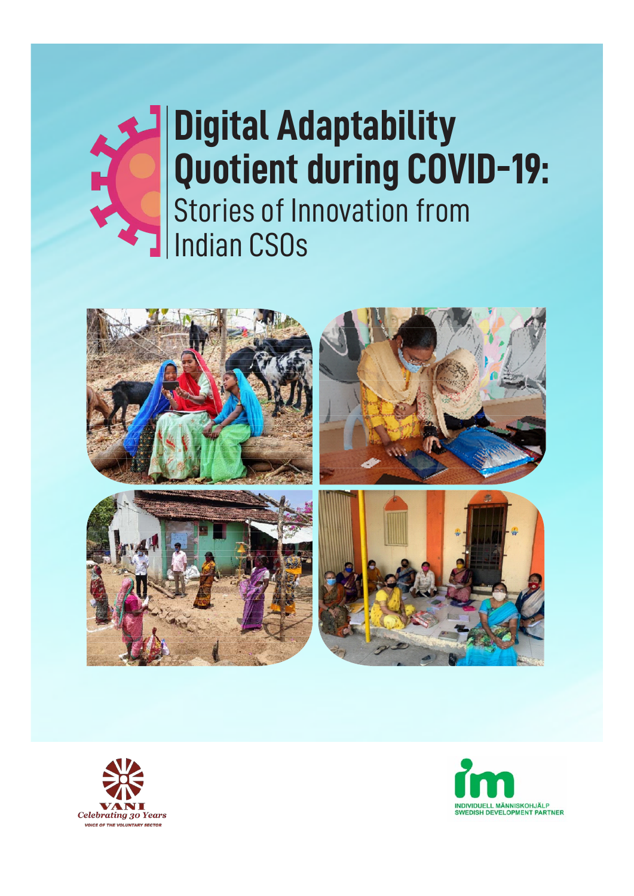

## **Digital Adaptability Quotient during COVID-19:** Stories of Innovation from Indian CSOs





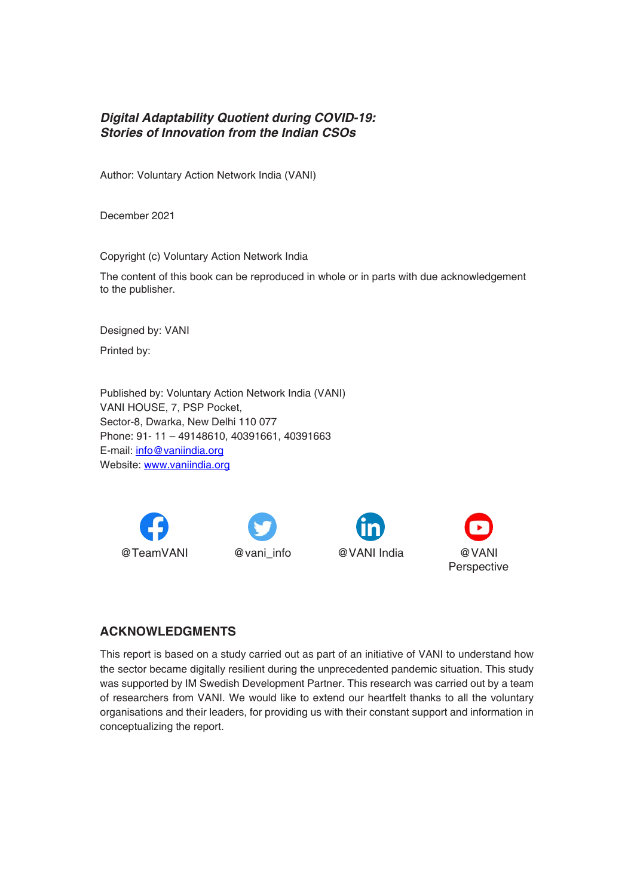## **Digital Adaptability Quotient during COVID-19: Stories of Innovation from the Indian CSOs**

Author: Voluntary Action Network India (VANI)

December 2021

Copyright (c) Voluntary Action Network India

The content of this book can be reproduced in whole or in parts with due acknowledgement to the publisher.

Designed by: VANI

Printed by:

Published by: Voluntary Action Network India (VANI) VANI HOUSE, 7, PSP Pocket, Sector-8, Dwarka, New Delhi 110 077 Phone: 91- 11 – 49148610, 40391661, 40391663 E-mail: info@vaniindia.org Website: www.vaniindia.org









## **ACKNOWLEDGMENTS**

This report is based on a study carried out as part of an initiative of VANI to understand how the sector became digitally resilient during the unprecedented pandemic situation. This study was supported by IM Swedish Development Partner. This research was carried out by a team of researchers from VANI. We would like to extend our heartfelt thanks to all the voluntary organisations and their leaders, for providing us with their constant support and information in conceptualizing the report.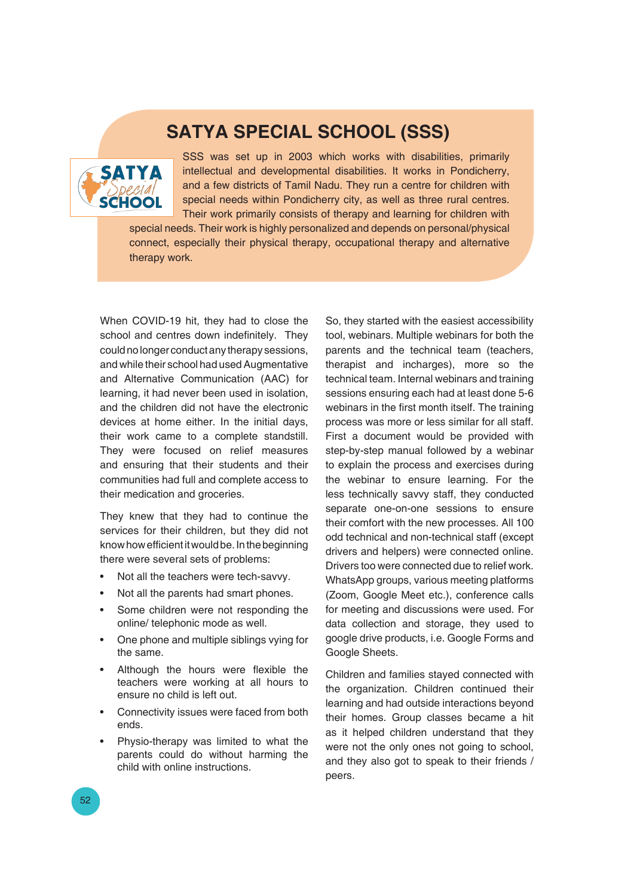## **SATyA SPECiAL SCHOOL (SSS)**



SSS was set up in 2003 which works with disabilities, primarily intellectual and developmental disabilities. It works in Pondicherry, and a few districts of Tamil Nadu. They run a centre for children with special needs within Pondicherry city, as well as three rural centres. Their work primarily consists of therapy and learning for children with

special needs. Their work is highly personalized and depends on personal/physical connect, especially their physical therapy, occupational therapy and alternative therapy work.

When COVID-19 hit, they had to close the school and centres down indefinitely. They could no longer conduct any therapy sessions, and while their school had used Augmentative and Alternative Communication (AAC) for learning, it had never been used in isolation, and the children did not have the electronic devices at home either. In the initial days, their work came to a complete standstill. They were focused on relief measures and ensuring that their students and their communities had full and complete access to their medication and groceries.

They knew that they had to continue the services for their children, but they did not know how efficient it would be. In the beginning there were several sets of problems:

- Not all the teachers were tech-savvy.
- Not all the parents had smart phones.
- Some children were not responding the online/ telephonic mode as well.
- One phone and multiple siblings vying for the same.
- Although the hours were flexible the teachers were working at all hours to ensure no child is left out.
- Connectivity issues were faced from both ends.
- Physio-therapy was limited to what the parents could do without harming the child with online instructions.

So, they started with the easiest accessibility tool, webinars. Multiple webinars for both the parents and the technical team (teachers, therapist and incharges), more so the technical team. Internal webinars and training sessions ensuring each had at least done 5-6 webinars in the first month itself. The training process was more or less similar for all staff. First a document would be provided with step-by-step manual followed by a webinar to explain the process and exercises during the webinar to ensure learning. For the less technically savvy staff, they conducted separate one-on-one sessions to ensure their comfort with the new processes. All 100 odd technical and non-technical staff (except drivers and helpers) were connected online. Drivers too were connected due to relief work. WhatsApp groups, various meeting platforms (Zoom, Google Meet etc.), conference calls for meeting and discussions were used. For data collection and storage, they used to google drive products, i.e. Google Forms and Google Sheets.

Children and families stayed connected with the organization. Children continued their learning and had outside interactions beyond their homes. Group classes became a hit as it helped children understand that they were not the only ones not going to school. and they also got to speak to their friends / peers.